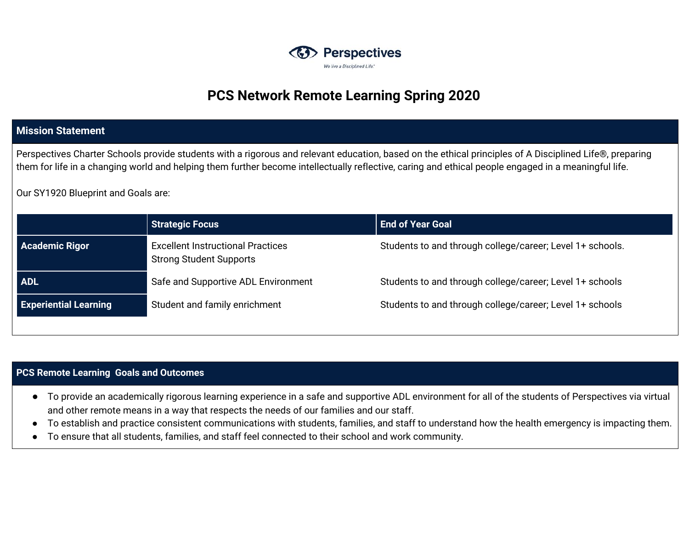

# **PCS Network Remote Learning Spring 2020**

## **Mission Statement**

Perspectives Charter Schools provide students with a rigorous and relevant education, based on the ethical principles of A Disciplined Life®, preparing them for life in a changing world and helping them further become intellectually reflective, caring and ethical people engaged in a meaningful life.

Our SY1920 Blueprint and Goals are:

|                                                                                                     | <b>Strategic Focus</b> | <b>End of Year Goal</b>                                   |  |
|-----------------------------------------------------------------------------------------------------|------------------------|-----------------------------------------------------------|--|
| <b>Academic Rigor</b><br><b>Excellent Instructional Practices</b><br><b>Strong Student Supports</b> |                        | Students to and through college/career; Level 1+ schools. |  |
| <b>ADL</b><br>Safe and Supportive ADL Environment                                                   |                        | Students to and through college/career; Level 1+ schools  |  |
| <b>Experiential Learning</b><br>Student and family enrichment                                       |                        | Students to and through college/career; Level 1+ schools  |  |

#### **PCS Remote Learning Goals and Outcomes**

- To provide an academically rigorous learning experience in a safe and supportive ADL environment for all of the students of Perspectives via virtual and other remote means in a way that respects the needs of our families and our staff.
- To establish and practice consistent communications with students, families, and staff to understand how the health emergency is impacting them.
- To ensure that all students, families, and staff feel connected to their school and work community.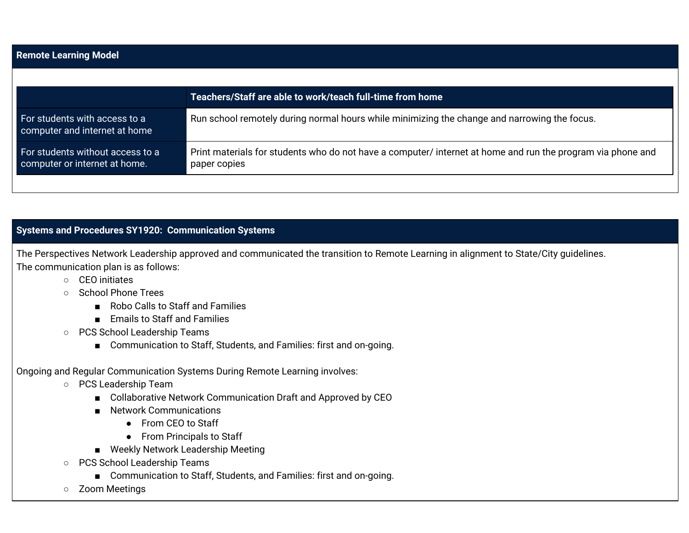| <b>Remote Learning Model</b>                                                                                                |  |  |  |  |
|-----------------------------------------------------------------------------------------------------------------------------|--|--|--|--|
|                                                                                                                             |  |  |  |  |
| Teachers/Staff are able to work/teach full-time from home                                                                   |  |  |  |  |
| Run school remotely during normal hours while minimizing the change and narrowing the focus.                                |  |  |  |  |
| Print materials for students who do not have a computer/ internet at home and run the program via phone and<br>paper copies |  |  |  |  |
|                                                                                                                             |  |  |  |  |

# **Systems and Procedures SY1920: Communication Systems**

The Perspectives Network Leadership approved and communicated the transition to Remote Learning in alignment to State/City guidelines. The communication plan is as follows:

- CEO initiates
- School Phone Trees
	- Robo Calls to Staff and Families
	- Emails to Staff and Families
- PCS School Leadership Teams
	- Communication to Staff, Students, and Families: first and on-going.

# Ongoing and Regular Communication Systems During Remote Learning involves:

- PCS Leadership Team
	- Collaborative Network Communication Draft and Approved by CEO
	- Network Communications
		- From CEO to Staff
		- From Principals to Staff
	- Weekly Network Leadership Meeting
- PCS School Leadership Teams
	- Communication to Staff, Students, and Families: first and on-going.
- Zoom Meetings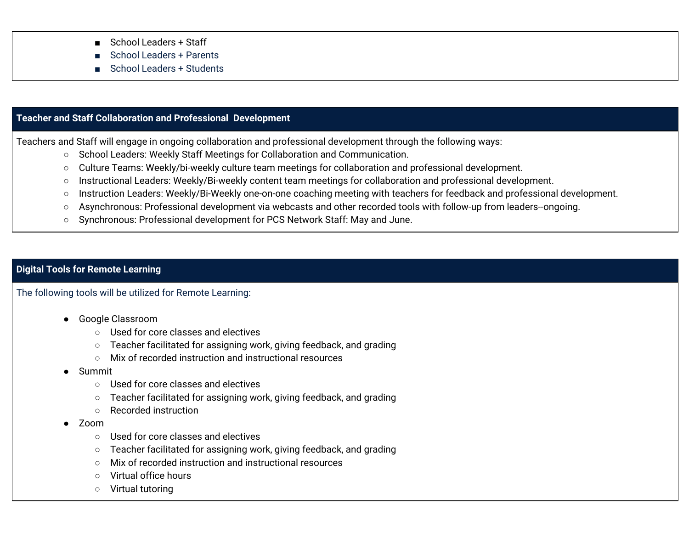- School Leaders + Staff
- School Leaders + Parents
- School Leaders + Students

### **Teacher and Staff Collaboration and Professional Development**

Teachers and Staff will engage in ongoing collaboration and professional development through the following ways:

- School Leaders: Weekly Staff Meetings for Collaboration and Communication.
- Culture Teams: Weekly/bi-weekly culture team meetings for collaboration and professional development.
- Instructional Leaders: Weekly/Bi-weekly content team meetings for collaboration and professional development.
- Instruction Leaders: Weekly/Bi-Weekly one-on-one coaching meeting with teachers for feedback and professional development.
- Asynchronous: Professional development via webcasts and other recorded tools with follow-up from leaders--ongoing.
- Synchronous: Professional development for PCS Network Staff: May and June.

### **Digital Tools for Remote Learning**

The following tools will be utilized for Remote Learning:

- Google Classroom
	- Used for core classes and electives
	- Teacher facilitated for assigning work, giving feedback, and grading
	- Mix of recorded instruction and instructional resources
- **Summit** 
	- Used for core classes and electives
	- Teacher facilitated for assigning work, giving feedback, and grading
	- Recorded instruction
- Zoom
	- Used for core classes and electives
	- Teacher facilitated for assigning work, giving feedback, and grading
	- Mix of recorded instruction and instructional resources
	- Virtual office hours
	- Virtual tutoring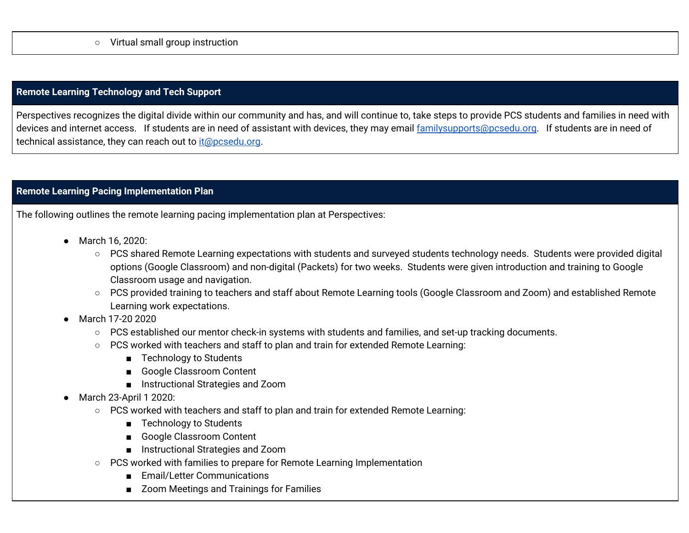### **Remote Learning Technology and Tech Support**

Perspectives recognizes the digital divide within our community and has, and will continue to, take steps to provide PCS students and families in need with devices and internet access. If students are in need of assistant with devices, they may email [familysupports@pcsedu.org](mailto:familysupports@pcsedu.org). If students are in need of technical assistance, they can reach out to [it@pcsedu.org](mailto:it@pcsedu.org).

### **Remote Learning Pacing Implementation Plan**

The following outlines the remote learning pacing implementation plan at Perspectives:

- **●** March 16, 2020:
	- PCS shared Remote Learning expectations with students and surveyed students technology needs. Students were provided digital options (Google Classroom) and non-digital (Packets) for two weeks. Students were given introduction and training to Google Classroom usage and navigation.
	- PCS provided training to teachers and staff about Remote Learning tools (Google Classroom and Zoom) and established Remote Learning work expectations.
- March 17-20 2020
	- PCS established our mentor check-in systems with students and families, and set-up tracking documents.
	- PCS worked with teachers and staff to plan and train for extended Remote Learning:
		- Technology to Students
		- Google Classroom Content
		- Instructional Strategies and Zoom
- March 23-April 1 2020:
	- PCS worked with teachers and staff to plan and train for extended Remote Learning:
		- Technology to Students
		- Google Classroom Content
		- Instructional Strategies and Zoom
	- PCS worked with families to prepare for Remote Learning Implementation
		- Email/Letter Communications
		- Zoom Meetings and Trainings for Families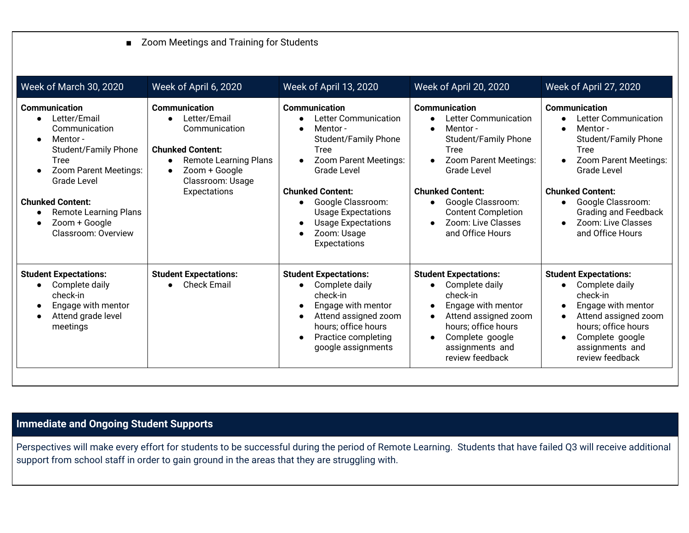# ■ Zoom Meetings and Training for Students

| Week of March 30, 2020                                                                                                                                                                                                                                                        | Week of April 6, 2020                                                                                                                                                                                        | Week of April 13, 2020                                                                                                                                                                                                                                                                        | Week of April 20, 2020                                                                                                                                                                                                                                                                                       | Week of April 27, 2020                                                                                                                                                                                                                                                        |
|-------------------------------------------------------------------------------------------------------------------------------------------------------------------------------------------------------------------------------------------------------------------------------|--------------------------------------------------------------------------------------------------------------------------------------------------------------------------------------------------------------|-----------------------------------------------------------------------------------------------------------------------------------------------------------------------------------------------------------------------------------------------------------------------------------------------|--------------------------------------------------------------------------------------------------------------------------------------------------------------------------------------------------------------------------------------------------------------------------------------------------------------|-------------------------------------------------------------------------------------------------------------------------------------------------------------------------------------------------------------------------------------------------------------------------------|
| Communication<br>Letter/Email<br>Communication<br>Mentor -<br>$\bullet$<br><b>Student/Family Phone</b><br><b>Tree</b><br>Zoom Parent Meetings:<br>Grade Level<br><b>Chunked Content:</b><br><b>Remote Learning Plans</b><br>Zoom + Google<br>$\bullet$<br>Classroom: Overview | Communication<br>Letter/Email<br>$\bullet$<br>Communication<br><b>Chunked Content:</b><br><b>Remote Learning Plans</b><br>$\bullet$<br>Zoom + Google<br>$\bullet$<br>Classroom: Usage<br><b>Expectations</b> | <b>Communication</b><br>Letter Communication<br>Mentor-<br><b>Student/Family Phone</b><br><b>Tree</b><br>Zoom Parent Meetings:<br><b>Grade Level</b><br><b>Chunked Content:</b><br>Google Classroom:<br><b>Usage Expectations</b><br><b>Usage Expectations</b><br>Zoom: Usage<br>Expectations | <b>Communication</b><br><b>Letter Communication</b><br>Mentor-<br>$\bullet$<br><b>Student/Family Phone</b><br><b>Tree</b><br>Zoom Parent Meetings:<br><b>Grade Level</b><br><b>Chunked Content:</b><br>Google Classroom:<br>$\bullet$<br><b>Content Completion</b><br>Zoom: Live Classes<br>and Office Hours | <b>Communication</b><br>Letter Communication<br>Mentor-<br><b>Student/Family Phone</b><br><b>Tree</b><br>Zoom Parent Meetings:<br><b>Grade Level</b><br><b>Chunked Content:</b><br>Google Classroom:<br><b>Grading and Feedback</b><br>Zoom: Live Classes<br>and Office Hours |
| <b>Student Expectations:</b><br>Complete daily<br>check-in<br>Engage with mentor<br>Attend grade level<br>meetings                                                                                                                                                            | <b>Student Expectations:</b><br><b>Check Email</b><br>$\bullet$                                                                                                                                              | <b>Student Expectations:</b><br>Complete daily<br>check-in<br>Engage with mentor<br>Attend assigned zoom<br>$\bullet$<br>hours; office hours<br>Practice completing<br>$\bullet$<br>google assignments                                                                                        | <b>Student Expectations:</b><br>Complete daily<br>check-in<br>Engage with mentor<br>Attend assigned zoom<br>hours; office hours<br>Complete google<br>assignments and<br>review feedback                                                                                                                     | <b>Student Expectations:</b><br>Complete daily<br>check-in<br>Engage with mentor<br>Attend assigned zoom<br>hours; office hours<br>Complete google<br>assignments and<br>review feedback                                                                                      |

# **Immediate and Ongoing Student Supports**

Perspectives will make every effort for students to be successful during the period of Remote Learning. Students that have failed Q3 will receive additional support from school staff in order to gain ground in the areas that they are struggling with.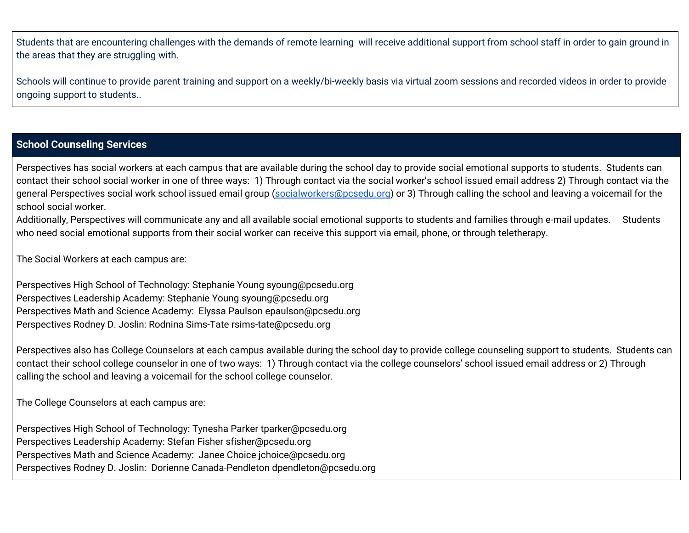Students that are encountering challenges with the demands of remote learning will receive additional support from school staff in order to gain ground in the areas that they are struggling with.

Schools will continue to provide parent training and support on a weekly/bi-weekly basis via virtual zoom sessions and recorded videos in order to provide ongoing support to students..

### **School Counseling Services**

Perspectives has social workers at each campus that are available during the school day to provide social emotional supports to students. Students can contact their school social worker in one of three ways: 1) Through contact via the social worker's school issued email address 2) Through contact via the general Perspectives social work school issued email group [\(socialworkers@pcsedu.org](mailto:socialworkers@pcsedu.org)) or 3) Through calling the school and leaving a voicemail for the school social worker.

Additionally, Perspectives will communicate any and all available social emotional supports to students and families through e-mail updates. Students who need social emotional supports from their social worker can receive this support via email, phone, or through teletherapy.

The Social Workers at each campus are:

Perspectives High School of Technology: Stephanie Young syoung@pcsedu.org Perspectives Leadership Academy: Stephanie Young syoung@pcsedu.org Perspectives Math and Science Academy: Elyssa Paulson epaulson@pcsedu.org Perspectives Rodney D. Joslin: Rodnina Sims-Tate rsims-tate@pcsedu.org

Perspectives also has College Counselors at each campus available during the school day to provide college counseling support to students. Students can contact their school college counselor in one of two ways: 1) Through contact via the college counselors' school issued email address or 2) Through calling the school and leaving a voicemail for the school college counselor.

The College Counselors at each campus are:

Perspectives High School of Technology: Tynesha Parker tparker@pcsedu.org Perspectives Leadership Academy: Stefan Fisher sfisher@pcsedu.org Perspectives Math and Science Academy: Janee Choice jchoice@pcsedu.org Perspectives Rodney D. Joslin: Dorienne Canada-Pendleton dpendleton@pcsedu.org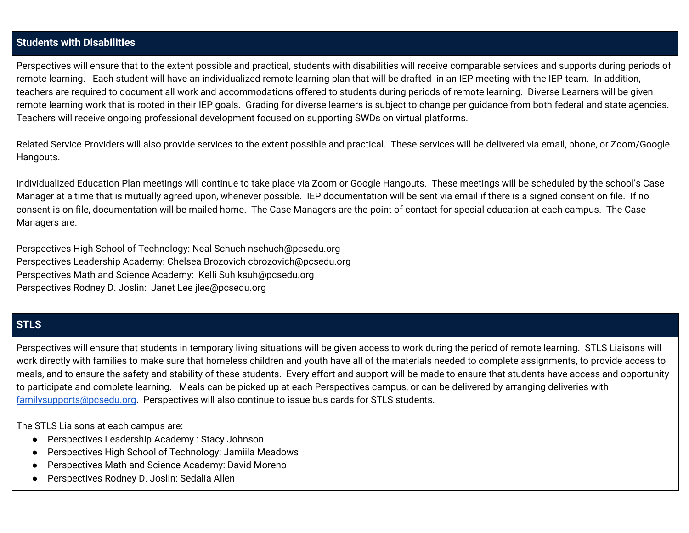### **Students with Disabilities**

Perspectives will ensure that to the extent possible and practical, students with disabilities will receive comparable services and supports during periods of remote learning. Each student will have an individualized remote learning plan that will be drafted in an IEP meeting with the IEP team. In addition, teachers are required to document all work and accommodations offered to students during periods of remote learning. Diverse Learners will be given remote learning work that is rooted in their IEP goals. Grading for diverse learners is subject to change per guidance from both federal and state agencies. Teachers will receive ongoing professional development focused on supporting SWDs on virtual platforms.

Related Service Providers will also provide services to the extent possible and practical. These services will be delivered via email, phone, or Zoom/Google Hangouts.

Individualized Education Plan meetings will continue to take place via Zoom or Google Hangouts. These meetings will be scheduled by the school's Case Manager at a time that is mutually agreed upon, whenever possible. IEP documentation will be sent via email if there is a signed consent on file. If no consent is on file, documentation will be mailed home. The Case Managers are the point of contact for special education at each campus. The Case Managers are:

Perspectives High School of Technology: Neal Schuch nschuch@pcsedu.org Perspectives Leadership Academy: Chelsea Brozovich cbrozovich@pcsedu.org Perspectives Math and Science Academy: Kelli Suh ksuh@pcsedu.org Perspectives Rodney D. Joslin: Janet Lee jlee@pcsedu.org

# **STLS**

Perspectives will ensure that students in temporary living situations will be given access to work during the period of remote learning. STLS Liaisons will work directly with families to make sure that homeless children and youth have all of the materials needed to complete assignments, to provide access to meals, and to ensure the safety and stability of these students. Every effort and support will be made to ensure that students have access and opportunity to participate and complete learning. Meals can be picked up at each Perspectives campus, or can be delivered by arranging deliveries with [familysupports@pcsedu.org.](mailto:familysupports@pcsedu.org) Perspectives will also continue to issue bus cards for STLS students.

The STLS Liaisons at each campus are:

- Perspectives Leadership Academy : Stacy Johnson
- Perspectives High School of Technology: Jamiila Meadows
- Perspectives Math and Science Academy: David Moreno
- Perspectives Rodney D. Joslin: Sedalia Allen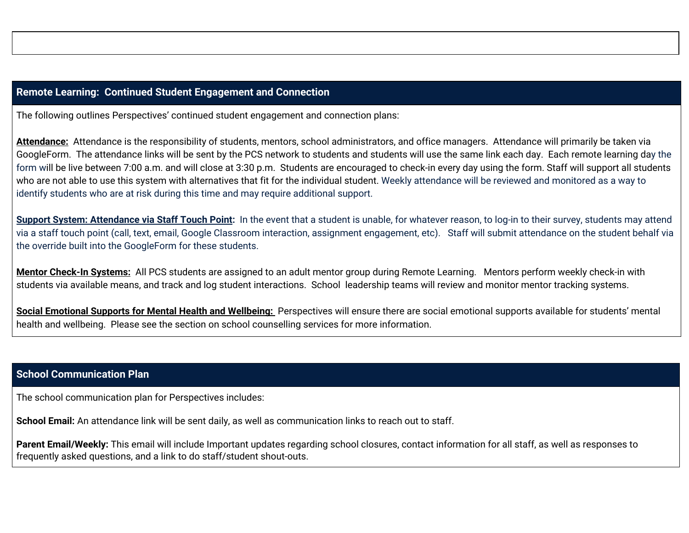### **Remote Learning: Continued Student Engagement and Connection**

The following outlines Perspectives' continued student engagement and connection plans:

**Attendance:** Attendance is the responsibility of students, mentors, school administrators, and office managers. Attendance will primarily be taken via GoogleForm. The attendance links will be sent by the PCS network to students and students will use the same link each day. Each remote learning day the form will be live between 7:00 a.m. and will close at 3:30 p.m. Students are encouraged to check-in every day using the form. Staff will support all students who are not able to use this system with alternatives that fit for the individual student. Weekly attendance will be reviewed and monitored as a way to identify students who are at risk during this time and may require additional support.

**Support System: Attendance via Staff Touch Point:** In the event that a student is unable, for whatever reason, to log-in to their survey, students may attend via a staff touch point (call, text, email, Google Classroom interaction, assignment engagement, etc). Staff will submit attendance on the student behalf via the override built into the GoogleForm for these students.

**Mentor Check-In Systems:** All PCS students are assigned to an adult mentor group during Remote Learning. Mentors perform weekly check-in with students via available means, and track and log student interactions. School leadership teams will review and monitor mentor tracking systems.

**Social Emotional Supports for Mental Health and Wellbeing:** Perspectives will ensure there are social emotional supports available for students' mental health and wellbeing. Please see the section on school counselling services for more information.

### **School Communication Plan**

The school communication plan for Perspectives includes:

**School Email:** An attendance link will be sent daily, as well as communication links to reach out to staff.

**Parent Email/Weekly:** This email will include Important updates regarding school closures, contact information for all staff, as well as responses to frequently asked questions, and a link to do staff/student shout-outs.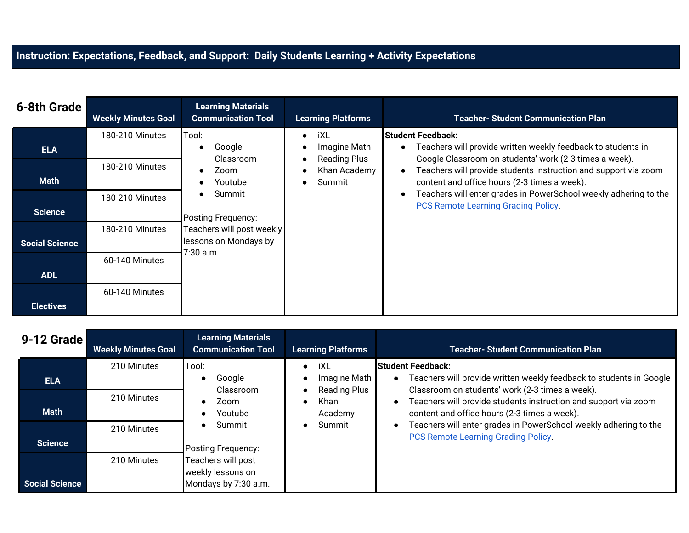# **Instruction: Expectations, Feedback, and Support: Daily Students Learning + Activity Expectations**

| 6-8th Grade           | <b>Weekly Minutes Goal</b> | <b>Learning Materials</b><br><b>Communication Tool</b> | <b>Learning Platforms</b>           | <b>Teacher-Student Communication Plan</b>                                                                              |
|-----------------------|----------------------------|--------------------------------------------------------|-------------------------------------|------------------------------------------------------------------------------------------------------------------------|
|                       | 180-210 Minutes            | Tool:                                                  | iXL<br>$\bullet$                    | <b>Student Feedback:</b>                                                                                               |
| <b>ELA</b>            |                            | Google<br>Classroom                                    | Imagine Math<br><b>Reading Plus</b> | Teachers will provide written weekly feedback to students in<br>Google Classroom on students' work (2-3 times a week). |
|                       | 180-210 Minutes            | Zoom                                                   | Khan Academy                        | Teachers will provide students instruction and support via zoom                                                        |
| <b>Math</b>           |                            | Youtube                                                | Summit                              | content and office hours (2-3 times a week).                                                                           |
|                       | 180-210 Minutes            | Summit                                                 |                                     | Teachers will enter grades in PowerSchool weekly adhering to the<br><b>PCS Remote Learning Grading Policy.</b>         |
| <b>Science</b>        |                            | Posting Frequency:                                     |                                     |                                                                                                                        |
|                       | 180-210 Minutes            | Teachers will post weekly                              |                                     |                                                                                                                        |
| <b>Social Science</b> |                            | lessons on Mondays by<br>7:30 a.m.                     |                                     |                                                                                                                        |
|                       | 60-140 Minutes             |                                                        |                                     |                                                                                                                        |
| <b>ADL</b>            |                            |                                                        |                                     |                                                                                                                        |
|                       | 60-140 Minutes             |                                                        |                                     |                                                                                                                        |
| <b>Electives</b>      |                            |                                                        |                                     |                                                                                                                        |

| 9-12 Grade            | <b>Weekly Minutes Goal</b> | <b>Learning Materials</b><br><b>Communication Tool</b> | <b>Learning Platforms</b>           | <b>Teacher- Student Communication Plan</b>                                                                             |
|-----------------------|----------------------------|--------------------------------------------------------|-------------------------------------|------------------------------------------------------------------------------------------------------------------------|
|                       | 210 Minutes                | Tool:                                                  | iXL<br>$\bullet$                    | <b>Student Feedback:</b>                                                                                               |
| <b>ELA</b>            |                            | Google<br>$\bullet$<br>Classroom                       | Imagine Math<br><b>Reading Plus</b> | Teachers will provide written weekly feedback to students in Google<br>Classroom on students' work (2-3 times a week). |
|                       | 210 Minutes                | Zoom                                                   | Khan<br>$\bullet$                   | Teachers will provide students instruction and support via zoom                                                        |
| <b>Math</b>           |                            | Youtube                                                | Academy                             | content and office hours (2-3 times a week).                                                                           |
|                       | 210 Minutes                | Summit<br>$\bullet$                                    | Summit<br>$\bullet$                 | Teachers will enter grades in PowerSchool weekly adhering to the                                                       |
| <b>Science</b>        |                            | Posting Frequency:                                     |                                     | <b>PCS Remote Learning Grading Policy.</b>                                                                             |
|                       | 210 Minutes                | Teachers will post                                     |                                     |                                                                                                                        |
| <b>Social Science</b> |                            | weekly lessons on<br>Mondays by 7:30 a.m.              |                                     |                                                                                                                        |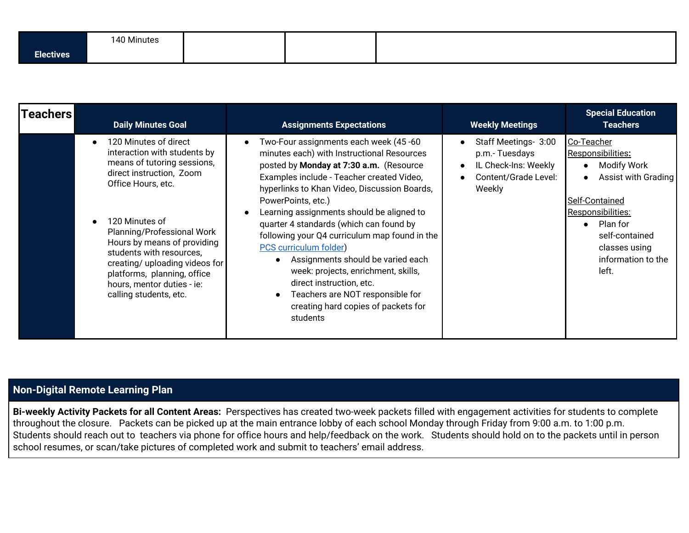|                          | 140 Minutes |  |  |  |
|--------------------------|-------------|--|--|--|
| --<br>Electives <b>'</b> |             |  |  |  |

| <b> Teachers</b> | <b>Daily Minutes Goal</b>                                                                                                                                                                                                                                                                                                                                                               | <b>Assignments Expectations</b>                                                                                                                                                                                                                                                                                                                                                                                                                                                                                                                                                                                            | <b>Weekly Meetings</b>                                                                          | <b>Special Education</b><br><b>Teachers</b>                                                                                                                                                |
|------------------|-----------------------------------------------------------------------------------------------------------------------------------------------------------------------------------------------------------------------------------------------------------------------------------------------------------------------------------------------------------------------------------------|----------------------------------------------------------------------------------------------------------------------------------------------------------------------------------------------------------------------------------------------------------------------------------------------------------------------------------------------------------------------------------------------------------------------------------------------------------------------------------------------------------------------------------------------------------------------------------------------------------------------------|-------------------------------------------------------------------------------------------------|--------------------------------------------------------------------------------------------------------------------------------------------------------------------------------------------|
|                  | 120 Minutes of direct<br>$\bullet$<br>interaction with students by<br>means of tutoring sessions,<br>direct instruction, Zoom<br>Office Hours, etc.<br>120 Minutes of<br>Planning/Professional Work<br>Hours by means of providing<br>students with resources,<br>creating/ uploading videos for<br>platforms, planning, office<br>hours, mentor duties - ie:<br>calling students, etc. | Two-Four assignments each week (45-60<br>minutes each) with Instructional Resources<br>posted by Monday at 7:30 a.m. (Resource<br>Examples include - Teacher created Video,<br>hyperlinks to Khan Video, Discussion Boards,<br>PowerPoints, etc.)<br>Learning assignments should be aligned to<br>quarter 4 standards (which can found by<br>following your Q4 curriculum map found in the<br><b>PCS</b> curriculum folder)<br>Assignments should be varied each<br>week: projects, enrichment, skills,<br>direct instruction, etc.<br>Teachers are NOT responsible for<br>creating hard copies of packets for<br>students | Staff Meetings- 3:00<br>p.m.-Tuesdays<br>IL Check-Ins: Weekly<br>Content/Grade Level:<br>Weekly | Co-Teacher<br>Responsibilities:<br>Modify Work<br>Assist with Grading<br>Self-Contained<br>Responsibilities:<br>Plan for<br>self-contained<br>classes using<br>information to the<br>left. |

# **Non-Digital Remote Learning Plan**

**Bi-weekly Activity Packets for all Content Areas:** Perspectives has created two-week packets filled with engagement activities for students to complete throughout the closure. Packets can be picked up at the main entrance lobby of each school Monday through Friday from 9:00 a.m. to 1:00 p.m. Students should reach out to teachers via phone for office hours and help/feedback on the work. Students should hold on to the packets until in person school resumes, or scan/take pictures of completed work and submit to teachers' email address.